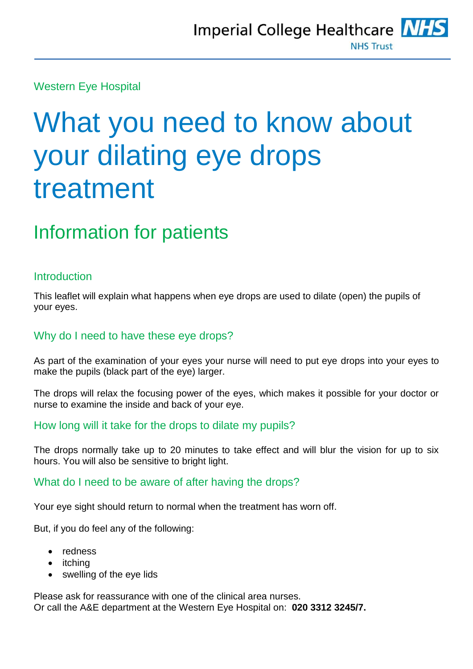Western Eye Hospital

# What you need to know about your dilating eye drops treatment

# Information for patients

#### **Introduction**

This leaflet will explain what happens when eye drops are used to dilate (open) the pupils of your eyes.

#### Why do I need to have these eye drops?

As part of the examination of your eyes your nurse will need to put eye drops into your eyes to make the pupils (black part of the eye) larger.

The drops will relax the focusing power of the eyes, which makes it possible for your doctor or nurse to examine the inside and back of your eye.

#### How long will it take for the drops to dilate my pupils?

The drops normally take up to 20 minutes to take effect and will blur the vision for up to six hours. You will also be sensitive to bright light.

#### What do I need to be aware of after having the drops?

Your eye sight should return to normal when the treatment has worn off.

But, if you do feel any of the following:

- redness
- itching
- swelling of the eye lids

Please ask for reassurance with one of the clinical area nurses. Or call the A&E department at the Western Eye Hospital on: **020 3312 3245/7.**